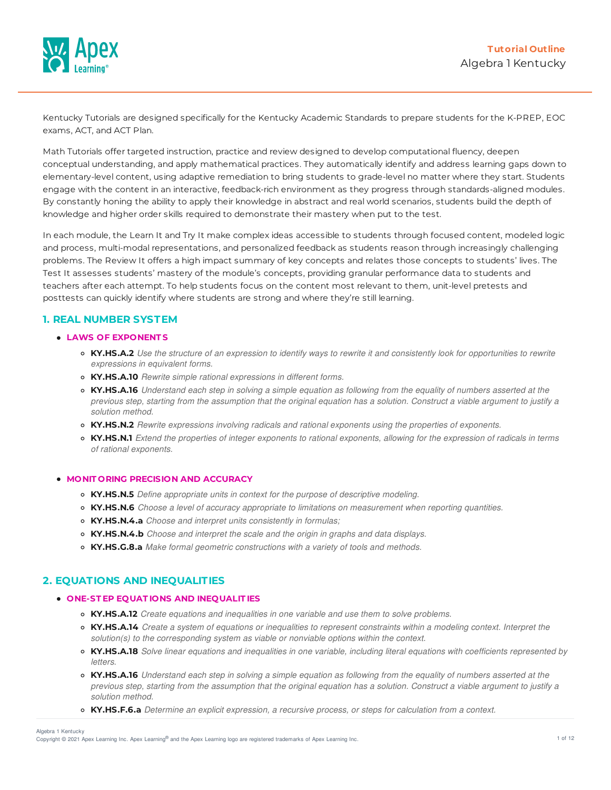

Kentucky Tutorials are designed specifically for the Kentucky Academic Standards to prepare students for the K-PREP, EOC exams, ACT, and ACT Plan.

Math Tutorials offer targeted instruction, practice and review designed to develop computational fluency, deepen conceptual understanding, and apply mathematical practices. They automatically identify and address learning gaps down to elementary-level content, using adaptive remediation to bring students to grade-level no matter where they start. Students engage with the content in an interactive, feedback-rich environment as they progress through standards-aligned modules. By constantly honing the ability to apply their knowledge in abstract and real world scenarios, students build the depth of knowledge and higher order skills required to demonstrate their mastery when put to the test.

In each module, the Learn It and Try It make complex ideas accessible to students through focused content, modeled logic and process, multi-modal representations, and personalized feedback as students reason through increasingly challenging problems. The Review It offers a high impact summary of key concepts and relates those concepts to students' lives. The Test It assesses students' mastery of the module's concepts, providing granular performance data to students and teachers after each attempt. To help students focus on the content most relevant to them, unit-level pretests and posttests can quickly identify where students are strong and where they're still learning.

# **1. REAL NUMBER SYSTEM**

## **LAWS OF EXPONENT S**

- **KY.HS.A.2** Use the structure of an expression to identify ways to rewrite it and consistently look for opportunities to rewrite *expressions in equivalent forms.*
- **KY.HS.A.10** *Rewrite simple rational expressions in different forms.*
- KY.HS.A.16 Understand each step in solving a simple equation as following from the equality of numbers asserted at the previous step, starting from the assumption that the original equation has a solution. Construct a viable argument to justify a *solution method.*
- **KY.HS.N.2** *Rewrite expressions involving radicals and rational exponents using the properties of exponents.*
- KY.HS.N.1 Extend the properties of integer exponents to rational exponents, allowing for the expression of radicals in terms *of rational exponents.*

### **MONIT ORING PRECISION AND ACCURACY**

- **KY.HS.N.5** *Define appropriate units in context for the purpose of descriptive modeling.*
- **KY.HS.N.6** *Choose a level of accuracy appropriate to limitations on measurement when reporting quantities.*
- **KY.HS.N.4.a** *Choose and interpret units consistently in formulas;*
- **KY.HS.N.4.b** *Choose and interpret the scale and the origin in graphs and data displays.*
- **KY.HS.G.8.a** *Make formal geometric constructions with a variety of tools and methods.*

# **2. EQUATIONS AND INEQUALITIES**

#### **ONE-ST EP EQUAT IONS AND INEQUALIT IES**

- **KY.HS.A.12** *Create equations and inequalities in one variable and use them to solve problems.*
- KY.HS.A.14 Create a system of equations or inequalities to represent constraints within a modeling context. Interpret the *solution(s) to the corresponding system as viable or nonviable options within the context.*
- KY.HS.A.18 Solve linear equations and inequalities in one variable, including literal equations with coefficients represented by *letters.*
- KY.HS.A.16 Understand each step in solving a simple equation as following from the equality of numbers asserted at the previous step, starting from the assumption that the original equation has a solution. Construct a viable argument to justify a *solution method.*
- **KY.HS.F.6.a** *Determine an explicit expression, a recursive process, or steps for calculation from a context.*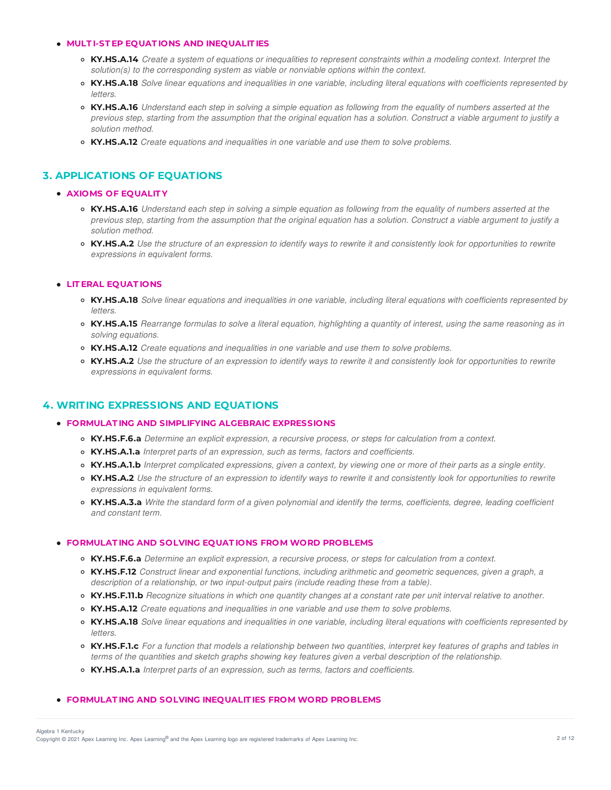### **MULT I-ST EP EQUAT IONS AND INEQUALIT IES**

- KY.HS.A.14 Create a system of equations or inequalities to represent constraints within a modeling context. Interpret the *solution(s) to the corresponding system as viable or nonviable options within the context.*
- KY.HS.A.18 Solve linear equations and inequalities in one variable, including literal equations with coefficients represented by *letters.*
- KY.HS.A.16 Understand each step in solving a simple equation as following from the equality of numbers asserted at the previous step, starting from the assumption that the original equation has a solution. Construct a viable argument to justify a *solution method.*
- **KY.HS.A.12** *Create equations and inequalities in one variable and use them to solve problems.*

# **3. APPLICATIONS OF EQUATIONS**

### **AXIOMS OF EQUALIT Y**

- KY.HS.A.16 Understand each step in solving a simple equation as following from the equality of numbers asserted at the previous step, starting from the assumption that the original equation has a solution. Construct a viable argument to justify a *solution method.*
- KY.HS.A.2 Use the structure of an expression to identify ways to rewrite it and consistently look for opportunities to rewrite *expressions in equivalent forms.*

### **LIT ERAL EQUAT IONS**

- KY.HS.A.18 Solve linear equations and inequalities in one variable, including literal equations with coefficients represented by *letters.*
- KY.HS.A.15 Rearrange formulas to solve a literal equation, highlighting a quantity of interest, using the same reasoning as in *solving equations.*
- **KY.HS.A.12** *Create equations and inequalities in one variable and use them to solve problems.*
- KY.HS.A.2 Use the structure of an expression to identify ways to rewrite it and consistently look for opportunities to rewrite *expressions in equivalent forms.*

# **4. WRITING EXPRESSIONS AND EQUATIONS**

#### **FORMULAT ING AND SIMPLIFYING ALGEBRAIC EXPRESSIONS**

- **KY.HS.F.6.a** *Determine an explicit expression, a recursive process, or steps for calculation from a context.*
- **KY.HS.A.1.a** *Interpret parts of an expression, such as terms, factors and coefficients.*
- KY.HS.A.1.b Interpret complicated expressions, given a context, by viewing one or more of their parts as a single entity.
- KY.HS.A.2 Use the structure of an expression to identify ways to rewrite it and consistently look for opportunities to rewrite *expressions in equivalent forms.*
- KY.HS.A.3.a Write the standard form of a given polynomial and identify the terms, coefficients, degree, leading coefficient *and constant term.*

### **FORMULAT ING AND SOLVING EQUAT IONS FROM WORD PROBLEMS**

- **KY.HS.F.6.a** *Determine an explicit expression, a recursive process, or steps for calculation from a context.*
- **KY.HS.F.12** *Construct linear and exponential functions, including arithmetic and geometric sequences, given a graph, a description of a relationship, or two input-output pairs (include reading these from a table).*
- KY.HS.F.11.b Recognize situations in which one quantity changes at a constant rate per unit interval relative to another.
- **KY.HS.A.12** *Create equations and inequalities in one variable and use them to solve problems.*
- KY.HS.A.18 Solve linear equations and inequalities in one variable, including literal equations with coefficients represented by *letters.*
- KY.HS.F.1.c For a function that models a relationship between two quantities, interpret key features of graphs and tables in terms of the quantities and sketch graphs showing key features given a verbal description of the relationship.
- **KY.HS.A.1.a** *Interpret parts of an expression, such as terms, factors and coefficients.*

### **FORMULAT ING AND SOLVING INEQUALIT IES FROM WORD PROBLEMS**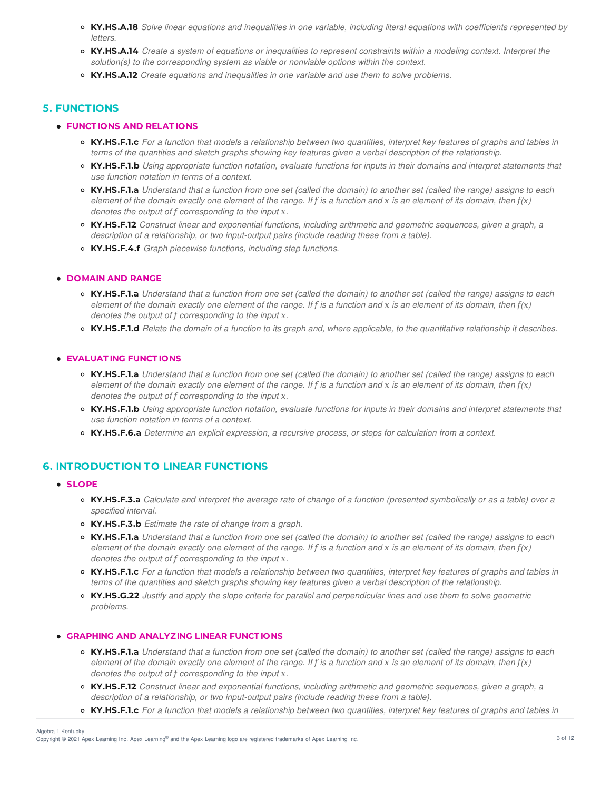- KY.HS.A.18 Solve linear equations and inequalities in one variable, including literal equations with coefficients represented by *letters.*
- KY.HS.A.14 Create a system of equations or inequalities to represent constraints within a modeling context. Interpret the *solution(s) to the corresponding system as viable or nonviable options within the context.*
- **KY.HS.A.12** *Create equations and inequalities in one variable and use them to solve problems.*

# **5. FUNCTIONS**

## **FUNCT IONS AND RELAT IONS**

- KY.HS.F.1.c For a function that models a relationship between two quantities, interpret key features of graphs and tables in terms of the quantities and sketch graphs showing key features given a verbal description of the relationship.
- KY.HS.F.1.b Using appropriate function notation, evaluate functions for inputs in their domains and interpret statements that *use function notation in terms of a context.*
- **KY.HS.F.1.a** Understand that a function from one set (called the domain) to another set (called the range) assigns to each element of the domain exactly one element of the range. If f is a function and x is an element of its domain, then  $f(x)$ *denotes the output of corresponding to the input -.*
- **KY.HS.F.12** *Construct linear and exponential functions, including arithmetic and geometric sequences, given a graph, a description of a relationship, or two input-output pairs (include reading these from a table).*
- **KY.HS.F.4.f** *Graph piecewise functions, including step functions.*

## **DOMAIN AND RANGE**

- **KY.HS.F.1.a** Understand that a function from one set (called the domain) to another set (called the range) assigns to each element of the domain exactly one element of the range. If f is a function and x is an element of its domain, then  $f(x)$ *denotes the output of corresponding to the input -.*
- KY.HS.F.1.d Relate the domain of a function to its graph and, where applicable, to the quantitative relationship it describes.

### **EVALUAT ING FUNCT IONS**

- KY.HS.F.1.a Understand that a function from one set (called the domain) to another set (called the range) assigns to each element of the domain exactly one element of the range. If f is a function and x is an element of its domain, then  $f(x)$ *denotes the output of corresponding to the input -.*
- KY.HS.F.1.b Using appropriate function notation, evaluate functions for inputs in their domains and interpret statements that *use function notation in terms of a context.*
- **KY.HS.F.6.a** *Determine an explicit expression, a recursive process, or steps for calculation from a context.*

# **6. INTRODUCTION TO LINEAR FUNCTIONS**

## **SLOPE**

- KY.HS.F.3.a Calculate and interpret the average rate of change of a function (presented symbolically or as a table) over a *specified interval.*
- **KY.HS.F.3.b** *Estimate the rate of change from a graph.*
- **KY.HS.F.1.a** Understand that a function from one set (called the domain) to another set (called the range) assigns to each element of the domain exactly one element of the range. If f is a function and x is an element of its domain, then  $f(x)$ *denotes the output of corresponding to the input -.*
- KY.HS.F.1.c For a function that models a relationship between two quantities, interpret key features of graphs and tables in terms of the quantities and sketch graphs showing key features given a verbal description of the relationship.
- **KY.HS.G.22** Justify and apply the slope criteria for parallel and perpendicular lines and use them to solve geometric *problems.*

## **GRAPHING AND ANALYZING LINEAR FUNCT IONS**

- KY.HS.F.1.a Understand that a function from one set (called the domain) to another set (called the range) assigns to each element of the domain exactly one element of the range. If f is a function and x is an element of its domain, then  $f(x)$ *denotes the output of corresponding to the input -.*
- **KY.HS.F.12** *Construct linear and exponential functions, including arithmetic and geometric sequences, given a graph, a description of a relationship, or two input-output pairs (include reading these from a table).*
- KY.HS.F.1.c For a function that models a relationship between two quantities, interpret key features of graphs and tables in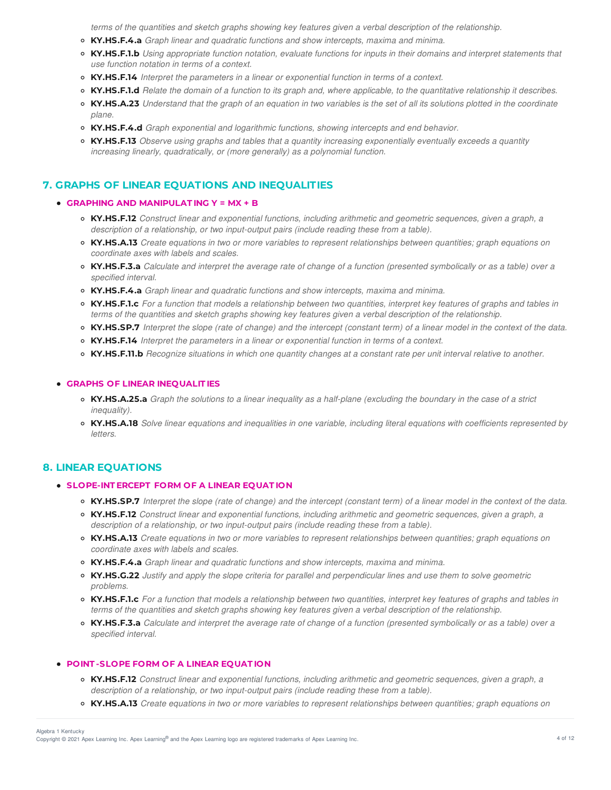terms of the quantities and sketch graphs showing key features given a verbal description of the relationship.

- **KY.HS.F.4.a** *Graph linear and quadratic functions and show intercepts, maxima and minima.*
- KY.HS.F.1.b Using appropriate function notation, evaluate functions for inputs in their domains and interpret statements that *use function notation in terms of a context.*
- **KY.HS.F.14** *Interpret the parameters in a linear or exponential function in terms of a context.*
- KY.HS.F.1.d Relate the domain of a function to its graph and, where applicable, to the quantitative relationship it describes.
- KY.HS.A.23 Understand that the graph of an equation in two variables is the set of all its solutions plotted in the coordinate *plane.*
- **KY.HS.F.4.d** *Graph exponential and logarithmic functions, showing intercepts and end behavior.*
- **KY.HS.F.13** *Observe using graphs and tables that a quantity increasing exponentially eventually exceeds a quantity increasing linearly, quadratically, or (more generally) as a polynomial function.*

# **7. GRAPHS OF LINEAR EQUATIONS AND INEQUALITIES**

### **GRAPHING AND MANIPULAT ING Y = MX + B**

- **KY.HS.F.12** *Construct linear and exponential functions, including arithmetic and geometric sequences, given a graph, a description of a relationship, or two input-output pairs (include reading these from a table).*
- KY.HS.A.13 Create equations in two or more variables to represent relationships between quantities; graph equations on *coordinate axes with labels and scales.*
- KY.HS.F.3.a Calculate and interpret the average rate of change of a function (presented symbolically or as a table) over a *specified interval.*
- **KY.HS.F.4.a** *Graph linear and quadratic functions and show intercepts, maxima and minima.*
- KY.HS.F.1.c For a function that models a relationship between two quantities, interpret key features of graphs and tables in terms of the quantities and sketch graphs showing key features given a verbal description of the relationship.
- KY.HS.SP.7 Interpret the slope (rate of change) and the intercept (constant term) of a linear model in the context of the data.
- **KY.HS.F.14** *Interpret the parameters in a linear or exponential function in terms of a context.*
- KY.HS.F.11.b Recognize situations in which one quantity changes at a constant rate per unit interval relative to another.

#### **GRAPHS OF LINEAR INEQUALIT IES**

- KY.HS.A.25.a Graph the solutions to a linear inequality as a half-plane (excluding the boundary in the case of a strict *inequality).*
- KY.HS.A.18 Solve linear equations and inequalities in one variable, including literal equations with coefficients represented by *letters.*

# **8. LINEAR EQUATIONS**

#### **SLOPE-INT ERCEPT FORM OF A LINEAR EQUAT ION**

- KY.HS.SP.7 Interpret the slope (rate of change) and the intercept (constant term) of a linear model in the context of the data.
- **KY.HS.F.12** *Construct linear and exponential functions, including arithmetic and geometric sequences, given a graph, a description of a relationship, or two input-output pairs (include reading these from a table).*
- KY.HS.A.13 Create equations in two or more variables to represent relationships between quantities; graph equations on *coordinate axes with labels and scales.*
- **KY.HS.F.4.a** *Graph linear and quadratic functions and show intercepts, maxima and minima.*
- KY.HS.G.22 Justify and apply the slope criteria for parallel and perpendicular lines and use them to solve geometric *problems.*
- KY.HS.F.1.c For a function that models a relationship between two quantities, interpret key features of graphs and tables in terms of the quantities and sketch graphs showing key features given a verbal description of the relationship.
- KY.HS.F.3.a Calculate and interpret the average rate of change of a function (presented symbolically or as a table) over a *specified interval.*

### **POINT -SLOPE FORM OF A LINEAR EQUAT ION**

- **KY.HS.F.12** *Construct linear and exponential functions, including arithmetic and geometric sequences, given a graph, a description of a relationship, or two input-output pairs (include reading these from a table).*
- KY.HS.A.13 Create equations in two or more variables to represent relationships between quantities; graph equations on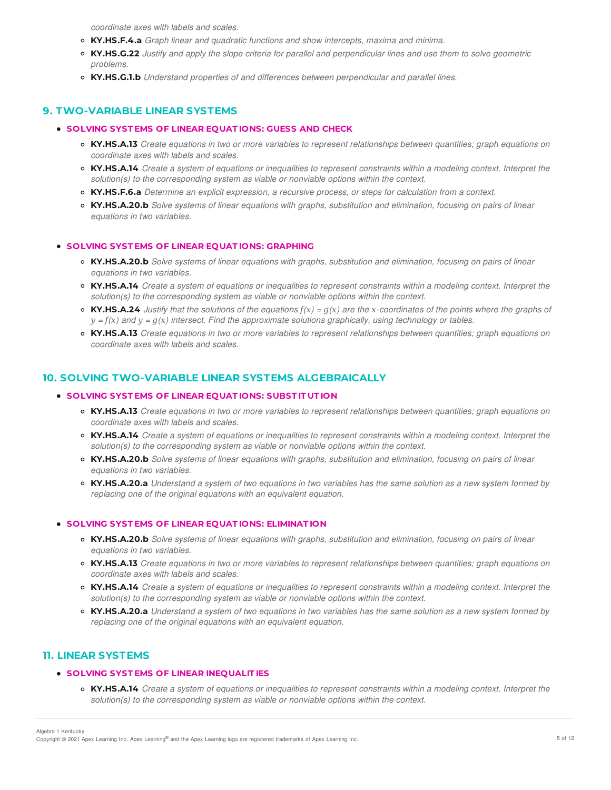*coordinate axes with labels and scales.*

- **KY.HS.F.4.a** *Graph linear and quadratic functions and show intercepts, maxima and minima.*
- KY.HS.G.22 Justify and apply the slope criteria for parallel and perpendicular lines and use them to solve geometric *problems.*
- **KY.HS.G.1.b** *Understand properties of and differences between perpendicular and parallel lines.*

# **9. TWO-VARIABLE LINEAR SYSTEMS**

- **SOLVING SYST EMS OF LINEAR EQUAT IONS: GUESS AND CHECK**
	- KY.HS.A.13 Create equations in two or more variables to represent relationships between quantities; graph equations on *coordinate axes with labels and scales.*
	- KY.HS.A.14 Create a system of equations or inequalities to represent constraints within a modeling context. Interpret the *solution(s) to the corresponding system as viable or nonviable options within the context.*
	- **KY.HS.F.6.a** *Determine an explicit expression, a recursive process, or steps for calculation from a context.*
	- **KY.HS.A.20.b** Solve systems of linear equations with graphs, substitution and elimination, focusing on pairs of linear *equations in two variables.*

### **SOLVING SYST EMS OF LINEAR EQUAT IONS: GRAPHING**

- KY.HS.A.20.b Solve systems of linear equations with graphs, substitution and elimination, focusing on pairs of linear *equations in two variables.*
- KY.HS.A.14 Create a system of equations or inequalities to represent constraints within a modeling context. Interpret the *solution(s) to the corresponding system as viable or nonviable options within the context.*
- **KY.HS.A.24** Justify that the solutions of the equations  $f(x) = g(x)$  are the x-coordinates of the points where the graphs of  $y = f(x)$  and  $y = g(x)$  intersect. Find the approximate solutions graphically, using technology or tables.
- KY.HS.A.13 Create equations in two or more variables to represent relationships between quantities; graph equations on *coordinate axes with labels and scales.*

# **10. SOLVING TWO-VARIABLE LINEAR SYSTEMS ALGEBRAICALLY**

## **SOLVING SYST EMS OF LINEAR EQUAT IONS: SUBST IT UT ION**

- KY.HS.A.13 Create equations in two or more variables to represent relationships between quantities; graph equations on *coordinate axes with labels and scales.*
- KY.HS.A.14 Create a system of equations or inequalities to represent constraints within a modeling context. Interpret the *solution(s) to the corresponding system as viable or nonviable options within the context.*
- o KY.HS.A.20.b Solve systems of linear equations with graphs, substitution and elimination, focusing on pairs of linear *equations in two variables.*
- KY.HS.A.20.a Understand a system of two equations in two variables has the same solution as a new system formed by *replacing one of the original equations with an equivalent equation.*

### **SOLVING SYST EMS OF LINEAR EQUAT IONS: ELIMINAT ION**

- KY.HS.A.20.b Solve systems of linear equations with graphs, substitution and elimination, focusing on pairs of linear *equations in two variables.*
- KY.HS.A.13 Create equations in two or more variables to represent relationships between quantities; graph equations on *coordinate axes with labels and scales.*
- KY.HS.A.14 Create a system of equations or inequalities to represent constraints within a modeling context. Interpret the *solution(s) to the corresponding system as viable or nonviable options within the context.*
- **KY.HS.A.20.a** Understand a system of two equations in two variables has the same solution as a new system formed by *replacing one of the original equations with an equivalent equation.*

# **11. LINEAR SYSTEMS**

### **SOLVING SYST EMS OF LINEAR INEQUALIT IES**

• KY.HS.A.14 Create a system of equations or inequalities to represent constraints within a modeling context. Interpret the *solution(s) to the corresponding system as viable or nonviable options within the context.*

Copyright © 2021 Apex Learning Inc. Apex Learning® and the Apex Learning logo are registered trademarks of Apex Learning Inc. <br>Copyright © 2021 Apex Learning Inc. Apex Learning® and the Apex Learning Iogo are registered tr Algebra 1 Kentucky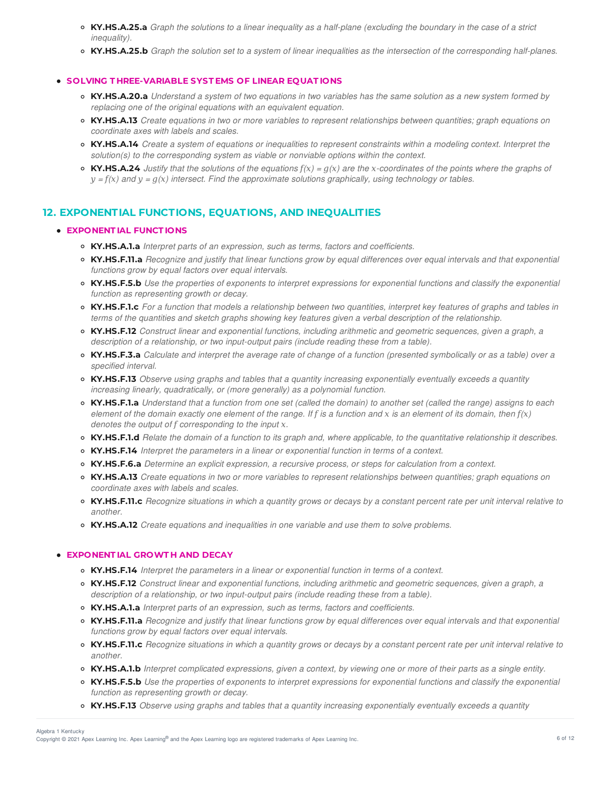- KY.HS.A.25.a Graph the solutions to a linear inequality as a half-plane (excluding the boundary in the case of a strict *inequality).*
- KY.HS.A.25.b Graph the solution set to a system of linear inequalities as the intersection of the corresponding half-planes.

### **SOLVING T HREE-VARIABLE SYST EMS OF LINEAR EQUAT IONS**

- KY.HS.A.20.a Understand a system of two equations in two variables has the same solution as a new system formed by *replacing one of the original equations with an equivalent equation.*
- KY.HS.A.13 Create equations in two or more variables to represent relationships between quantities; graph equations on *coordinate axes with labels and scales.*
- KY.HS.A.14 Create a system of equations or inequalities to represent constraints within a modeling context. Interpret the *solution(s) to the corresponding system as viable or nonviable options within the context.*
- **KY.HS.A.24** Justify that the solutions of the equations  $f(x) = g(x)$  are the x-coordinates of the points where the graphs of  $y = f(x)$  and  $y = g(x)$  intersect. Find the approximate solutions graphically, using technology or tables.

# **12. EXPONENTIAL FUNCTIONS, EQUATIONS, AND INEQUALITIES**

## **EXPONENT IAL FUNCT IONS**

- **KY.HS.A.1.a** *Interpret parts of an expression, such as terms, factors and coefficients.*
- KY.HS.F.11.a Recognize and justify that linear functions grow by equal differences over equal intervals and that exponential *functions grow by equal factors over equal intervals.*
- KY.HS.F.5.b Use the properties of exponents to interpret expressions for exponential functions and classify the exponential *function as representing growth or decay.*
- KY.HS.F.1.c For a function that models a relationship between two quantities, interpret key features of graphs and tables in terms of the quantities and sketch graphs showing key features given a verbal description of the relationship.
- **KY.HS.F.12** *Construct linear and exponential functions, including arithmetic and geometric sequences, given a graph, a description of a relationship, or two input-output pairs (include reading these from a table).*
- KY.HS.F.3.a Calculate and interpret the average rate of change of a function (presented symbolically or as a table) over a *specified interval.*
- **KY.HS.F.13** *Observe using graphs and tables that a quantity increasing exponentially eventually exceeds a quantity increasing linearly, quadratically, or (more generally) as a polynomial function.*
- **KY.HS.F.1.a** Understand that a function from one set (called the domain) to another set (called the range) assigns to each element of the domain exactly one element of the range. If f is a function and x is an element of its domain, then  $f(x)$ *denotes the output of corresponding to the input -.*
- KY.HS.F.1.d Relate the domain of a function to its graph and, where applicable, to the quantitative relationship it describes.
- **KY.HS.F.14** *Interpret the parameters in a linear or exponential function in terms of a context.*
- **KY.HS.F.6.a** *Determine an explicit expression, a recursive process, or steps for calculation from a context.*
- KY.HS.A.13 Create equations in two or more variables to represent relationships between quantities; graph equations on *coordinate axes with labels and scales.*
- KY.HS.F.11.c Recognize situations in which a quantity grows or decays by a constant percent rate per unit interval relative to *another.*
- **KY.HS.A.12** *Create equations and inequalities in one variable and use them to solve problems.*

### **EXPONENT IAL GROWT H AND DECAY**

- **KY.HS.F.14** *Interpret the parameters in a linear or exponential function in terms of a context.*
- **KY.HS.F.12** *Construct linear and exponential functions, including arithmetic and geometric sequences, given a graph, a description of a relationship, or two input-output pairs (include reading these from a table).*
- **KY.HS.A.1.a** *Interpret parts of an expression, such as terms, factors and coefficients.*
- KY.HS.F.11.a Recognize and justify that linear functions grow by equal differences over equal intervals and that exponential *functions grow by equal factors over equal intervals.*
- KY.HS.F.11.c Recognize situations in which a quantity grows or decays by a constant percent rate per unit interval relative to *another.*
- KY.HS.A.1.b Interpret complicated expressions, given a context, by viewing one or more of their parts as a single entity.
- KY.HS.F.5.b Use the properties of exponents to interpret expressions for exponential functions and classify the exponential *function as representing growth or decay.*
- **KY.HS.F.13** *Observe using graphs and tables that a quantity increasing exponentially eventually exceeds a quantity*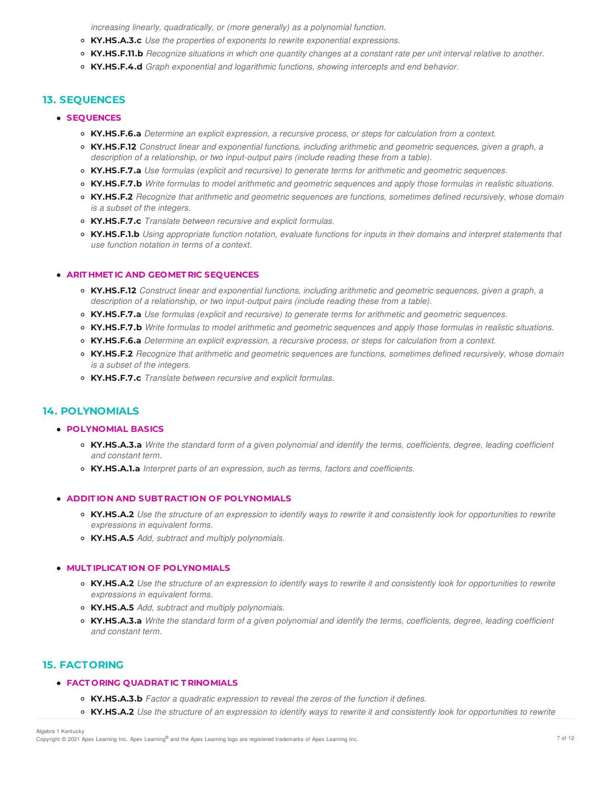*increasing linearly, quadratically, or (more generally) as a polynomial function.*

- **KY.HS.A.3.c** *Use the properties of exponents to rewrite exponential expressions.*
- KY.HS.F.11.b Recognize situations in which one quantity changes at a constant rate per unit interval relative to another.
- **KY.HS.F.4.d** *Graph exponential and logarithmic functions, showing intercepts and end behavior.*

# **13. SEQUENCES**

- **SEQUENCES**
	- **KY.HS.F.6.a** *Determine an explicit expression, a recursive process, or steps for calculation from a context.*
	- **KY.HS.F.12** *Construct linear and exponential functions, including arithmetic and geometric sequences, given a graph, a description of a relationship, or two input-output pairs (include reading these from a table).*
	- **KY.HS.F.7.a** *Use formulas (explicit and recursive) to generate terms for arithmetic and geometric sequences.*
	- KY.HS.F.7.b Write formulas to model arithmetic and geometric sequences and apply those formulas in realistic situations.
	- **KY.HS.F.2** *Recognize that arithmetic and geometric sequences are functions, sometimes defined recursively, whose domain is a subset of the integers.*
	- **KY.HS.F.7.c** *Translate between recursive and explicit formulas.*
	- KY.HS.F.1.b Using appropriate function notation, evaluate functions for inputs in their domains and interpret statements that *use function notation in terms of a context.*

## **ARIT HMET IC AND GEOMET RIC SEQUENCES**

- **KY.HS.F.12** *Construct linear and exponential functions, including arithmetic and geometric sequences, given a graph, a description of a relationship, or two input-output pairs (include reading these from a table).*
- **KY.HS.F.7.a** *Use formulas (explicit and recursive) to generate terms for arithmetic and geometric sequences.*
- KY.HS.F.7.b Write formulas to model arithmetic and geometric sequences and apply those formulas in realistic situations.
- **KY.HS.F.6.a** *Determine an explicit expression, a recursive process, or steps for calculation from a context.*
- **KY.HS.F.2** *Recognize that arithmetic and geometric sequences are functions, sometimes defined recursively, whose domain is a subset of the integers.*
- **KY.HS.F.7.c** *Translate between recursive and explicit formulas.*

# **14. POLYNOMIALS**

### **POLYNOMIAL BASICS**

- KY.HS.A.3.a Write the standard form of a given polynomial and identify the terms, coefficients, degree, leading coefficient *and constant term.*
- **KY.HS.A.1.a** *Interpret parts of an expression, such as terms, factors and coefficients.*

## **ADDIT ION AND SUBT RACT ION OF POLYNOMIALS**

- **KY.HS.A.2** Use the structure of an expression to identify ways to rewrite it and consistently look for opportunities to rewrite *expressions in equivalent forms.*
- **KY.HS.A.5** *Add, subtract and multiply polynomials.*

### **MULT IPLICAT ION OF POLYNOMIALS**

- KY.HS.A.2 Use the structure of an expression to identify ways to rewrite it and consistently look for opportunities to rewrite *expressions in equivalent forms.*
- **KY.HS.A.5** *Add, subtract and multiply polynomials.*
- KY.HS.A.3.a Write the standard form of a given polynomial and identify the terms, coefficients, degree, leading coefficient *and constant term.*

# **15. FACTORING**

### **FACT ORING QUADRAT IC T RINOMIALS**

- **KY.HS.A.3.b** *Factor a quadratic expression to reveal the zeros of the function it defines.*
- KY.HS.A.2 Use the structure of an expression to identify ways to rewrite it and consistently look for opportunities to rewrite

Algebra 1 Kentucky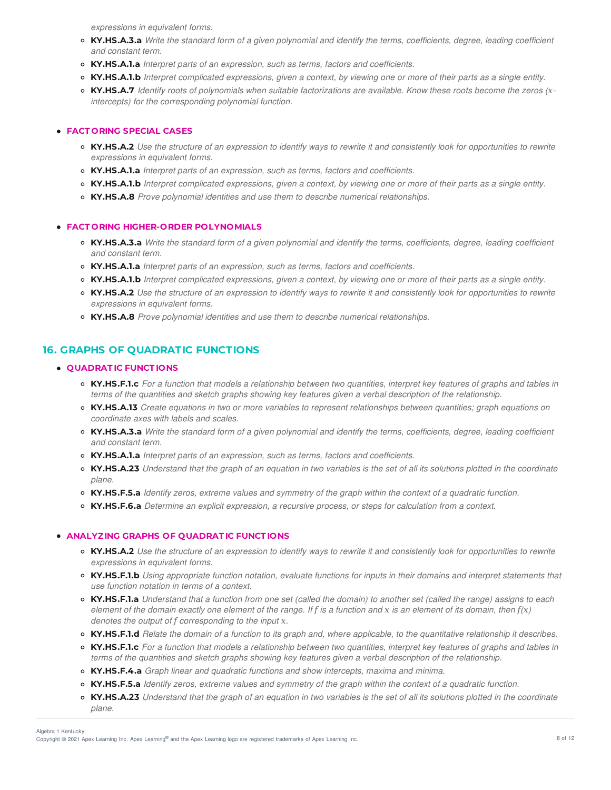*expressions in equivalent forms.*

- KY.HS.A.3.a Write the standard form of a given polynomial and identify the terms, coefficients, degree, leading coefficient *and constant term.*
- **KY.HS.A.1.a** *Interpret parts of an expression, such as terms, factors and coefficients.*
- o KY.HS.A.1.b Interpret complicated expressions, given a context, by viewing one or more of their parts as a single entity.
- KY.HS.A.7 Identify roots of polynomials when suitable factorizations are available. Know these roots become the zeros (x*intercepts) for the corresponding polynomial function.*

## **FACT ORING SPECIAL CASES**

- KY.HS.A.2 Use the structure of an expression to identify ways to rewrite it and consistently look for opportunities to rewrite *expressions in equivalent forms.*
- **KY.HS.A.1.a** *Interpret parts of an expression, such as terms, factors and coefficients.*
- KY.HS.A.1.b Interpret complicated expressions, given a context, by viewing one or more of their parts as a single entity.
- **KY.HS.A.8** *Prove polynomial identities and use them to describe numerical relationships.*

### **FACT ORING HIGHER-ORDER POLYNOMIALS**

- KY.HS.A.3.a Write the standard form of a given polynomial and identify the terms, coefficients, degree, leading coefficient *and constant term.*
- **KY.HS.A.1.a** *Interpret parts of an expression, such as terms, factors and coefficients.*
- o KY.HS.A.1.b Interpret complicated expressions, given a context, by viewing one or more of their parts as a single entity.
- KY.HS.A.2 Use the structure of an expression to identify ways to rewrite it and consistently look for opportunities to rewrite *expressions in equivalent forms.*
- **KY.HS.A.8** *Prove polynomial identities and use them to describe numerical relationships.*

# **16. GRAPHS OF QUADRATIC FUNCTIONS**

### **QUADRAT IC FUNCT IONS**

- KY.HS.F.1.c For a function that models a relationship between two quantities, interpret key features of graphs and tables in terms of the quantities and sketch graphs showing key features given a verbal description of the relationship.
- KY.HS.A.13 Create equations in two or more variables to represent relationships between quantities; graph equations on *coordinate axes with labels and scales.*
- KY.HS.A.3.a Write the standard form of a given polynomial and identify the terms, coefficients, degree, leading coefficient *and constant term.*
- **KY.HS.A.1.a** *Interpret parts of an expression, such as terms, factors and coefficients.*
- KY.HS.A.23 Understand that the graph of an equation in two variables is the set of all its solutions plotted in the coordinate *plane.*
- KY.HS.F.5.a Identify zeros, extreme values and symmetry of the graph within the context of a quadratic function.
- **KY.HS.F.6.a** *Determine an explicit expression, a recursive process, or steps for calculation from a context.*

## **ANALYZING GRAPHS OF QUADRAT IC FUNCT IONS**

- KY.HS.A.2 Use the structure of an expression to identify ways to rewrite it and consistently look for opportunities to rewrite *expressions in equivalent forms.*
- KY.HS.F.1.b Using appropriate function notation, evaluate functions for inputs in their domains and interpret statements that *use function notation in terms of a context.*
- **KY.HS.F.1.a** Understand that a function from one set (called the domain) to another set (called the range) assigns to each element of the domain exactly one element of the range. If f is a function and x is an element of its domain, then  $f(x)$ *denotes the output of corresponding to the input -.*
- **KY.HS.F.1.d** Relate the domain of a function to its graph and, where applicable, to the quantitative relationship it describes.
- KY.HS.F.1.c For a function that models a relationship between two quantities, interpret key features of graphs and tables in terms of the quantities and sketch graphs showing key features given a verbal description of the relationship.
- **KY.HS.F.4.a** *Graph linear and quadratic functions and show intercepts, maxima and minima.*
- o KY.HS.F.5.a Identify zeros, extreme values and symmetry of the graph within the context of a quadratic function.
- KY.HS.A.23 Understand that the graph of an equation in two variables is the set of all its solutions plotted in the coordinate *plane.*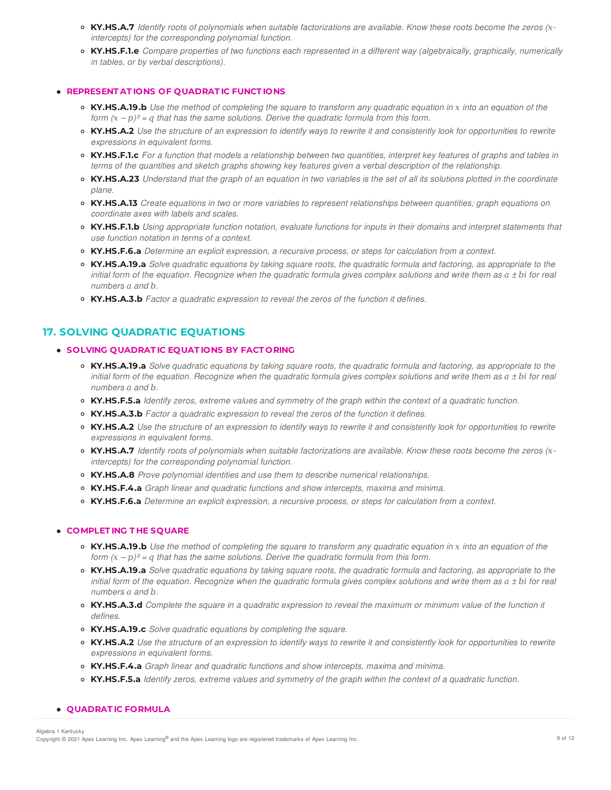- KY.HS.A.7 Identify roots of polynomials when suitable factorizations are available. Know these roots become the zeros (x*intercepts) for the corresponding polynomial function.*
- KY.HS.F.1.e Compare properties of two functions each represented in a different way (algebraically, graphically, numerically *in tables, or by verbal descriptions).*

### **REPRESENT AT IONS OF QUADRAT IC FUNCT IONS**

- KY.HS.A.19.b Use the method of completing the square to transform any quadratic equation in x into an equation of the *form*  $(x - p)^2 = q$  *that has the same solutions. Derive the quadratic formula from this form.*
- KY.HS.A.2 Use the structure of an expression to identify ways to rewrite it and consistently look for opportunities to rewrite *expressions in equivalent forms.*
- **KY.HS.F.1.c** For a function that models a relationship between two quantities, interpret key features of graphs and tables in terms of the quantities and sketch graphs showing key features given a verbal description of the relationship.
- **KY.HS.A.23** Understand that the graph of an equation in two variables is the set of all its solutions plotted in the coordinate *plane.*
- KY.HS.A.13 Create equations in two or more variables to represent relationships between quantities; graph equations on *coordinate axes with labels and scales.*
- **KY.HS.F.1.b** Using appropriate function notation, evaluate functions for inputs in their domains and interpret statements that *use function notation in terms of a context.*
- **KY.HS.F.6.a** *Determine an explicit expression, a recursive process, or steps for calculation from a context.*
- KY.HS.A.19.a Solve quadratic equations by taking square roots, the quadratic formula and factoring, as appropriate to the initial form of the equation. Recognize when the quadratic formula gives complex solutions and write them as  $a \pm bi$  for real *numbers*  $a$  and  $b$ .
- **KY.HS.A.3.b** *Factor a quadratic expression to reveal the zeros of the function it defines.*

# **17. SOLVING QUADRATIC EQUATIONS**

### **SOLVING QUADRAT IC EQUAT IONS BY FACT ORING**

- KY.HS.A.19.a Solve quadratic equations by taking square roots, the quadratic formula and factoring, as appropriate to the initial form of the equation. Recognize when the quadratic formula gives complex solutions and write them as  $a \pm bi$  for real *numbers and .*
- KY.HS.F.5.a Identify zeros, extreme values and symmetry of the graph within the context of a quadratic function.
- **KY.HS.A.3.b** *Factor a quadratic expression to reveal the zeros of the function it defines.*
- KY.HS.A.2 Use the structure of an expression to identify ways to rewrite it and consistently look for opportunities to rewrite *expressions in equivalent forms.*
- KY.HS.A.7 Identify roots of polynomials when suitable factorizations are available. Know these roots become the zeros (x*intercepts) for the corresponding polynomial function.*
- **KY.HS.A.8** *Prove polynomial identities and use them to describe numerical relationships.*
- **KY.HS.F.4.a** *Graph linear and quadratic functions and show intercepts, maxima and minima.*
- **KY.HS.F.6.a** *Determine an explicit expression, a recursive process, or steps for calculation from a context.*

#### **COMPLET ING T HE SQUARE**

- KY.HS.A.19.b Use the method of completing the square to transform any quadratic equation in x into an equation of the *form*  $(x - p)^2 = q$  *that has the same solutions. Derive the quadratic formula from this form.*
- KY.HS.A.19.a Solve quadratic equations by taking square roots, the quadratic formula and factoring, as appropriate to the initial form of the equation. Recognize when the quadratic formula gives complex solutions and write them as  $a \pm bi$  for real *numbers and .*
- KY.HS.A.3.d Complete the square in a quadratic expression to reveal the maximum or minimum value of the function it *defines.*
- **KY.HS.A.19.c** *Solve quadratic equations by completing the square.*
- KY.HS.A.2 Use the structure of an expression to identify ways to rewrite it and consistently look for opportunities to rewrite *expressions in equivalent forms.*
- **KY.HS.F.4.a** *Graph linear and quadratic functions and show intercepts, maxima and minima.*
- KY.HS.F.5.a Identify zeros, extreme values and symmetry of the graph within the context of a quadratic function.

#### **QUADRAT IC FORMULA**

Copyright © 2021 Apex Learning Inc. Apex Learning® and the Apex Learning logo are registered trademarks of Apex Learning Inc. <br>Copyright © 2021 Apex Learning Inc. Apex Learning® and the Apex Learning Iogo are registered tr Algebra 1 Kentucky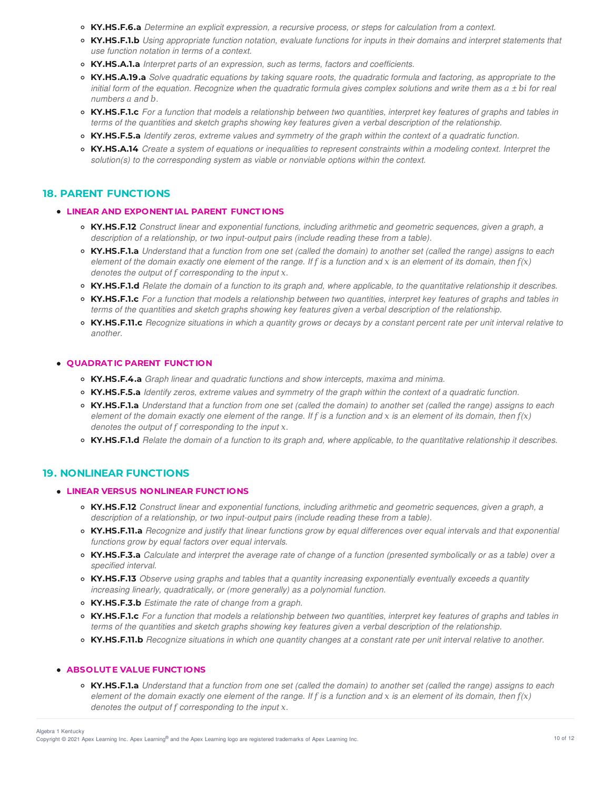- **KY.HS.F.6.a** *Determine an explicit expression, a recursive process, or steps for calculation from a context.*
- **KY.HS.F.1.b** Using appropriate function notation, evaluate functions for inputs in their domains and interpret statements that *use function notation in terms of a context.*
- **KY.HS.A.1.a** *Interpret parts of an expression, such as terms, factors and coefficients.*
- KY.HS.A.19.a Solve quadratic equations by taking square roots, the quadratic formula and factoring, as appropriate to the initial form of the equation. Recognize when the quadratic formula gives complex solutions and write them as  $a \pm bi$  for real *numbers a* and *b*.
- KY.HS.F.1.c For a function that models a relationship between two quantities, interpret key features of graphs and tables in terms of the quantities and sketch graphs showing key features given a verbal description of the relationship.
- KY.HS.F.5.a Identify zeros, extreme values and symmetry of the graph within the context of a quadratic function.
- KY.HS.A.14 Create a system of equations or inequalities to represent constraints within a modeling context. Interpret the *solution(s) to the corresponding system as viable or nonviable options within the context.*

## **18. PARENT FUNCTIONS**

### **LINEAR AND EXPONENT IAL PARENT FUNCT IONS**

- **KY.HS.F.12** *Construct linear and exponential functions, including arithmetic and geometric sequences, given a graph, a description of a relationship, or two input-output pairs (include reading these from a table).*
- **KY.HS.F.1.a** Understand that a function from one set (called the domain) to another set (called the range) assigns to each element of the domain exactly one element of the range. If f is a function and x is an element of its domain, then  $f(x)$ *denotes the output of corresponding to the input -.*
- KY.HS.F.1.d Relate the domain of a function to its graph and, where applicable, to the quantitative relationship it describes.
- KY.HS.F.1.c For a function that models a relationship between two quantities, interpret key features of graphs and tables in terms of the quantities and sketch graphs showing key features given a verbal description of the relationship.
- KY.HS.F.11.c Recognize situations in which a quantity grows or decays by a constant percent rate per unit interval relative to *another.*

### **QUADRAT IC PARENT FUNCT ION**

- **KY.HS.F.4.a** *Graph linear and quadratic functions and show intercepts, maxima and minima.*
- KY.HS.F.5.a Identify zeros, extreme values and symmetry of the graph within the context of a quadratic function.
- **KY.HS.F.1.a** Understand that a function from one set (called the domain) to another set (called the range) assigns to each element of the domain exactly one element of the range. If f is a function and x is an element of its domain, then  $f(x)$ *denotes the output of corresponding to the input -.*
- KY.HS.F.1.d Relate the domain of a function to its graph and, where applicable, to the quantitative relationship it describes.

# **19. NONLINEAR FUNCTIONS**

## **LINEAR VERSUS NONLINEAR FUNCT IONS**

- **KY.HS.F.12** *Construct linear and exponential functions, including arithmetic and geometric sequences, given a graph, a description of a relationship, or two input-output pairs (include reading these from a table).*
- KY.HS.F.11.a Recognize and justify that linear functions grow by equal differences over equal intervals and that exponential *functions grow by equal factors over equal intervals.*
- KY.HS.F.3.a Calculate and interpret the average rate of change of a function (presented symbolically or as a table) over a *specified interval.*
- **KY.HS.F.13** *Observe using graphs and tables that a quantity increasing exponentially eventually exceeds a quantity increasing linearly, quadratically, or (more generally) as a polynomial function.*
- **KY.HS.F.3.b** *Estimate the rate of change from a graph.*
- **KY.HS.F.1.c** For a function that models a relationship between two quantities, interpret key features of graphs and tables in terms of the quantities and sketch graphs showing key features given a verbal description of the relationship.
- KY.HS.F.11.b Recognize situations in which one quantity changes at a constant rate per unit interval relative to another.

## **ABSOLUT E VALUE FUNCT IONS**

• KY.HS.F.1.a Understand that a function from one set (called the domain) to another set (called the range) assigns to each element of the domain exactly one element of the range. If f is a function and x is an element of its domain, then  $f(x)$ *denotes the output of corresponding to the input -.*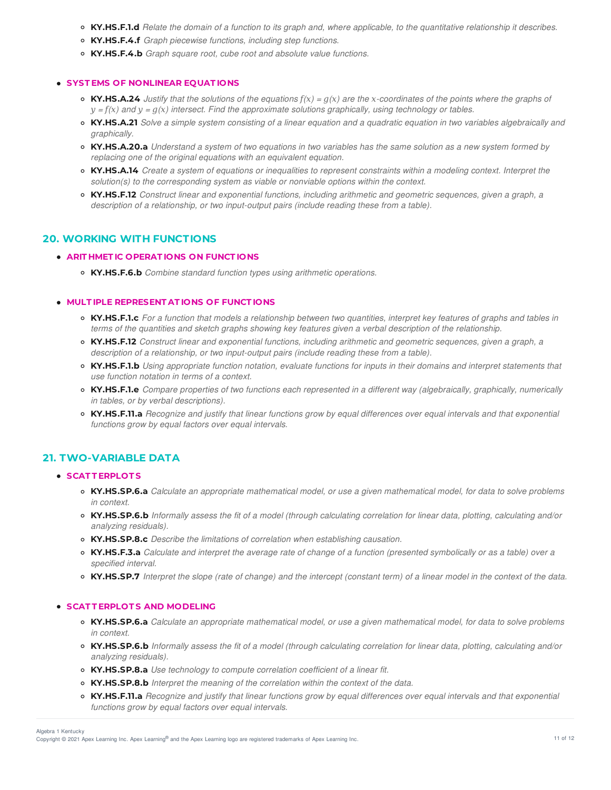- KY.HS.F.1.d Relate the domain of a function to its graph and, where applicable, to the quantitative relationship it describes.
- **KY.HS.F.4.f** *Graph piecewise functions, including step functions.*
- **KY.HS.F.4.b** *Graph square root, cube root and absolute value functions.*

#### **SYST EMS OF NONLINEAR EQUAT IONS**

- **KY.HS.A.24** Justify that the solutions of the equations  $f(x) = g(x)$  are the x-coordinates of the points where the graphs of  $y = f(x)$  and  $y = g(x)$  intersect. Find the approximate solutions graphically, using technology or tables.
- KY.HS.A.21 Solve a simple system consisting of a linear equation and a quadratic equation in two variables algebraically and *graphically.*
- KY.HS.A.20.a Understand a system of two equations in two variables has the same solution as a new system formed by *replacing one of the original equations with an equivalent equation.*
- KY.HS.A.14 Create a system of equations or inequalities to represent constraints within a modeling context. Interpret the *solution(s) to the corresponding system as viable or nonviable options within the context.*
- **KY.HS.F.12** *Construct linear and exponential functions, including arithmetic and geometric sequences, given a graph, a description of a relationship, or two input-output pairs (include reading these from a table).*

## **20. WORKING WITH FUNCTIONS**

### **ARIT HMET IC OPERAT IONS ON FUNCT IONS**

**KY.HS.F.6.b** *Combine standard function types using arithmetic operations.*

## **MULT IPLE REPRESENT AT IONS OF FUNCT IONS**

- o KY.HS.F.1.c For a function that models a relationship between two quantities, interpret key features of graphs and tables in terms of the quantities and sketch graphs showing key features given a verbal description of the relationship.
- **KY.HS.F.12** *Construct linear and exponential functions, including arithmetic and geometric sequences, given a graph, a description of a relationship, or two input-output pairs (include reading these from a table).*
- KY.HS.F.1.b Using appropriate function notation, evaluate functions for inputs in their domains and interpret statements that *use function notation in terms of a context.*
- KY.HS.F.1.e Compare properties of two functions each represented in a different way (algebraically, graphically, numerically *in tables, or by verbal descriptions).*
- KY.HS.F.11.a Recognize and justify that linear functions grow by equal differences over equal intervals and that exponential *functions grow by equal factors over equal intervals.*

# **21. TWO-VARIABLE DATA**

#### **SCAT T ERPLOT S**

- KY.HS.SP.6.a Calculate an appropriate mathematical model, or use a given mathematical model, for data to solve problems *in context.*
- KY.HS.SP.6.b Informally assess the fit of a model (through calculating correlation for linear data, plotting, calculating and/or *analyzing residuals).*
- **KY.HS.SP.8.c** *Describe the limitations of correlation when establishing causation.*
- KY.HS.F.3.a Calculate and interpret the average rate of change of a function (presented symbolically or as a table) over a *specified interval.*
- KY.HS.SP.7 Interpret the slope (rate of change) and the intercept (constant term) of a linear model in the context of the data.

#### **SCAT T ERPLOT S AND MODELING**

- KY.HS.SP.6.a Calculate an appropriate mathematical model, or use a given mathematical model, for data to solve problems *in context.*
- KY.HS.SP.6.b Informally assess the fit of a model (through calculating correlation for linear data, plotting, calculating and/or *analyzing residuals).*
- **KY.HS.SP.8.a** *Use technology to compute correlation coefficient of a linear fit.*
- **KY.HS.SP.8.b** *Interpret the meaning of the correlation within the context of the data.*
- o KY.HS.F.11.a Recognize and justify that linear functions grow by equal differences over equal intervals and that exponential *functions grow by equal factors over equal intervals.*

Copyright © 2021 Apex Learning Inc. Apex Learning® and the Apex Learning logo are registered trademarks of Apex Learning Inc. 11 of 12 Algebra 1 Kentucky